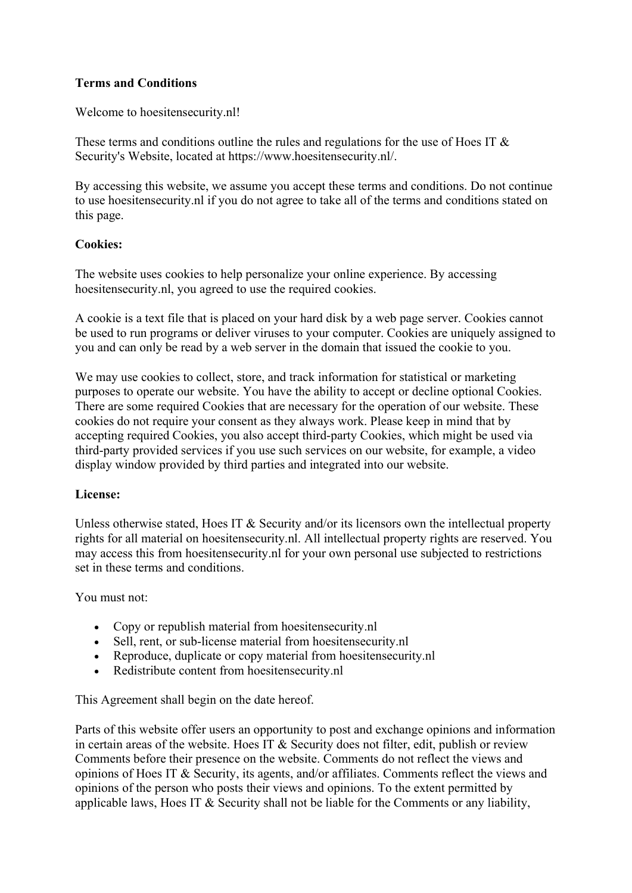# Terms and Conditions

Welcome to hoesitensecurity.nl!

These terms and conditions outline the rules and regulations for the use of Hoes IT & Security's Website, located at https://www.hoesitensecurity.nl/.

By accessing this website, we assume you accept these terms and conditions. Do not continue to use hoesitensecurity.nl if you do not agree to take all of the terms and conditions stated on this page.

### Cookies:

The website uses cookies to help personalize your online experience. By accessing hoesitensecurity.nl, you agreed to use the required cookies.

A cookie is a text file that is placed on your hard disk by a web page server. Cookies cannot be used to run programs or deliver viruses to your computer. Cookies are uniquely assigned to you and can only be read by a web server in the domain that issued the cookie to you.

We may use cookies to collect, store, and track information for statistical or marketing purposes to operate our website. You have the ability to accept or decline optional Cookies. There are some required Cookies that are necessary for the operation of our website. These cookies do not require your consent as they always work. Please keep in mind that by accepting required Cookies, you also accept third-party Cookies, which might be used via third-party provided services if you use such services on our website, for example, a video display window provided by third parties and integrated into our website.

### License:

Unless otherwise stated, Hoes IT  $\&$  Security and/or its licensors own the intellectual property rights for all material on hoesitensecurity.nl. All intellectual property rights are reserved. You may access this from hoesitensecurity.nl for your own personal use subjected to restrictions set in these terms and conditions.

You must not:

- Copy or republish material from hoesitensecurity.nl
- Sell, rent, or sub-license material from hoesitensecurity.nl
- Reproduce, duplicate or copy material from hoesitensecurity.nl
- Redistribute content from hoesitensecurity.nl

This Agreement shall begin on the date hereof.

Parts of this website offer users an opportunity to post and exchange opinions and information in certain areas of the website. Hoes IT & Security does not filter, edit, publish or review Comments before their presence on the website. Comments do not reflect the views and opinions of Hoes IT & Security, its agents, and/or affiliates. Comments reflect the views and opinions of the person who posts their views and opinions. To the extent permitted by applicable laws, Hoes IT & Security shall not be liable for the Comments or any liability,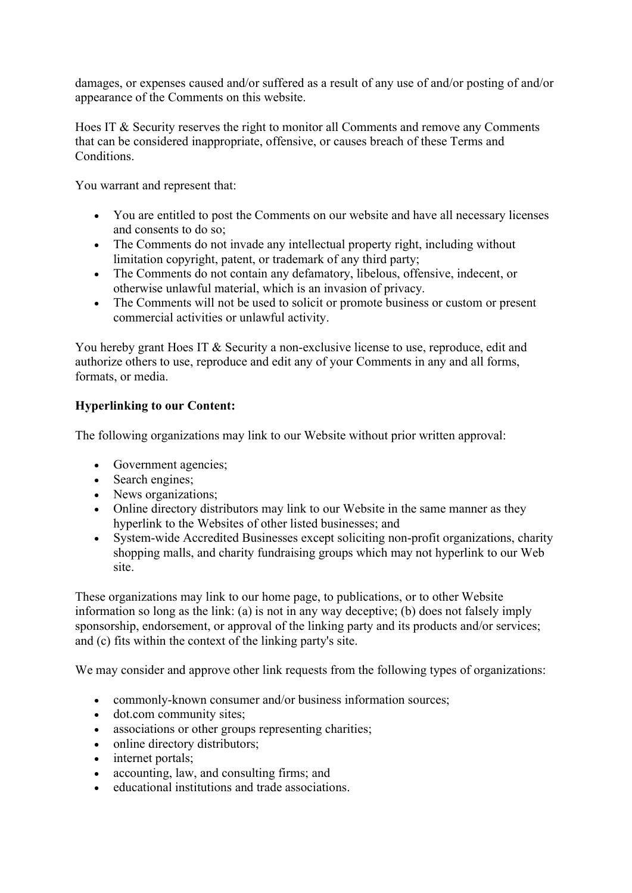damages, or expenses caused and/or suffered as a result of any use of and/or posting of and/or appearance of the Comments on this website.

Hoes IT & Security reserves the right to monitor all Comments and remove any Comments that can be considered inappropriate, offensive, or causes breach of these Terms and Conditions.

You warrant and represent that:

- You are entitled to post the Comments on our website and have all necessary licenses and consents to do so;
- The Comments do not invade any intellectual property right, including without limitation copyright, patent, or trademark of any third party;
- The Comments do not contain any defamatory, libelous, offensive, indecent, or otherwise unlawful material, which is an invasion of privacy.
- The Comments will not be used to solicit or promote business or custom or present commercial activities or unlawful activity.

You hereby grant Hoes IT & Security a non-exclusive license to use, reproduce, edit and authorize others to use, reproduce and edit any of your Comments in any and all forms, formats, or media.

# Hyperlinking to our Content:

The following organizations may link to our Website without prior written approval:

- Government agencies;
- Search engines;
- News organizations;
- Online directory distributors may link to our Website in the same manner as they hyperlink to the Websites of other listed businesses; and
- System-wide Accredited Businesses except soliciting non-profit organizations, charity shopping malls, and charity fundraising groups which may not hyperlink to our Web site.

These organizations may link to our home page, to publications, or to other Website information so long as the link: (a) is not in any way deceptive; (b) does not falsely imply sponsorship, endorsement, or approval of the linking party and its products and/or services; and (c) fits within the context of the linking party's site.

We may consider and approve other link requests from the following types of organizations:

- commonly-known consumer and/or business information sources;
- dot.com community sites;
- associations or other groups representing charities;
- online directory distributors;
- internet portals;
- accounting, law, and consulting firms; and
- educational institutions and trade associations.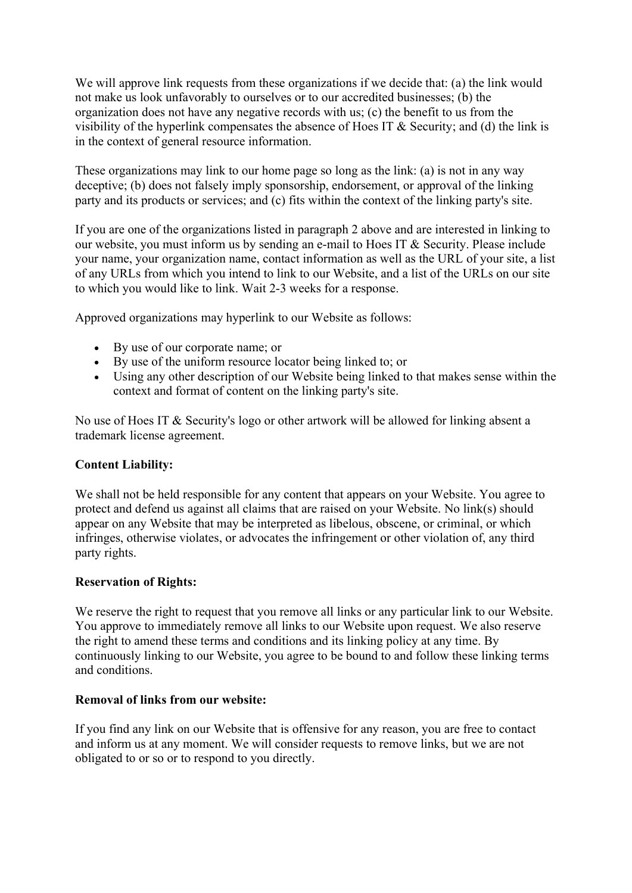We will approve link requests from these organizations if we decide that: (a) the link would not make us look unfavorably to ourselves or to our accredited businesses; (b) the organization does not have any negative records with us; (c) the benefit to us from the visibility of the hyperlink compensates the absence of Hoes IT & Security; and (d) the link is in the context of general resource information.

These organizations may link to our home page so long as the link: (a) is not in any way deceptive; (b) does not falsely imply sponsorship, endorsement, or approval of the linking party and its products or services; and (c) fits within the context of the linking party's site.

If you are one of the organizations listed in paragraph 2 above and are interested in linking to our website, you must inform us by sending an e-mail to Hoes IT & Security. Please include your name, your organization name, contact information as well as the URL of your site, a list of any URLs from which you intend to link to our Website, and a list of the URLs on our site to which you would like to link. Wait 2-3 weeks for a response.

Approved organizations may hyperlink to our Website as follows:

- By use of our corporate name; or
- By use of the uniform resource locator being linked to; or
- Using any other description of our Website being linked to that makes sense within the context and format of content on the linking party's site.

No use of Hoes IT & Security's logo or other artwork will be allowed for linking absent a trademark license agreement.

#### Content Liability:

We shall not be held responsible for any content that appears on your Website. You agree to protect and defend us against all claims that are raised on your Website. No link(s) should appear on any Website that may be interpreted as libelous, obscene, or criminal, or which infringes, otherwise violates, or advocates the infringement or other violation of, any third party rights.

#### Reservation of Rights:

We reserve the right to request that you remove all links or any particular link to our Website. You approve to immediately remove all links to our Website upon request. We also reserve the right to amend these terms and conditions and its linking policy at any time. By continuously linking to our Website, you agree to be bound to and follow these linking terms and conditions.

#### Removal of links from our website:

If you find any link on our Website that is offensive for any reason, you are free to contact and inform us at any moment. We will consider requests to remove links, but we are not obligated to or so or to respond to you directly.